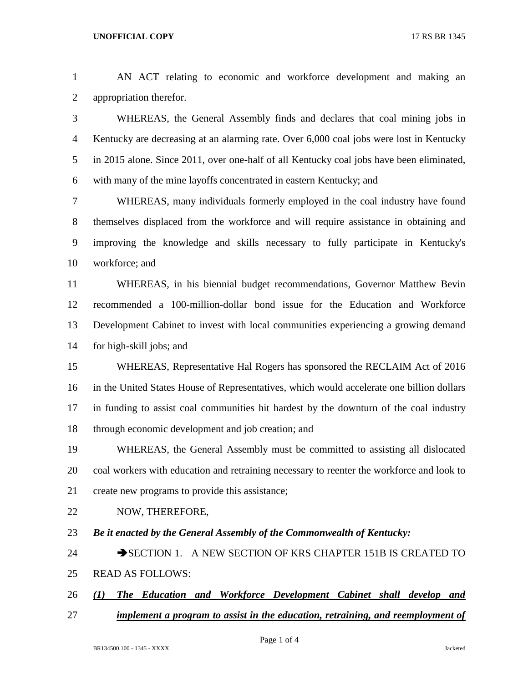AN ACT relating to economic and workforce development and making an appropriation therefor.

 WHEREAS, the General Assembly finds and declares that coal mining jobs in Kentucky are decreasing at an alarming rate. Over 6,000 coal jobs were lost in Kentucky in 2015 alone. Since 2011, over one-half of all Kentucky coal jobs have been eliminated, with many of the mine layoffs concentrated in eastern Kentucky; and

 WHEREAS, many individuals formerly employed in the coal industry have found themselves displaced from the workforce and will require assistance in obtaining and improving the knowledge and skills necessary to fully participate in Kentucky's workforce; and

 WHEREAS, in his biennial budget recommendations, Governor Matthew Bevin recommended a 100-million-dollar bond issue for the Education and Workforce Development Cabinet to invest with local communities experiencing a growing demand for high-skill jobs; and

 WHEREAS, Representative Hal Rogers has sponsored the RECLAIM Act of 2016 in the United States House of Representatives, which would accelerate one billion dollars in funding to assist coal communities hit hardest by the downturn of the coal industry through economic development and job creation; and

 WHEREAS, the General Assembly must be committed to assisting all dislocated coal workers with education and retraining necessary to reenter the workforce and look to create new programs to provide this assistance;

- 22 NOW, THEREFORE,
- *Be it enacted by the General Assembly of the Commonwealth of Kentucky:*

24 SECTION 1. A NEW SECTION OF KRS CHAPTER 151B IS CREATED TO READ AS FOLLOWS:

- *(1) The Education and Workforce Development Cabinet shall develop and*
- *implement a program to assist in the education, retraining, and reemployment of*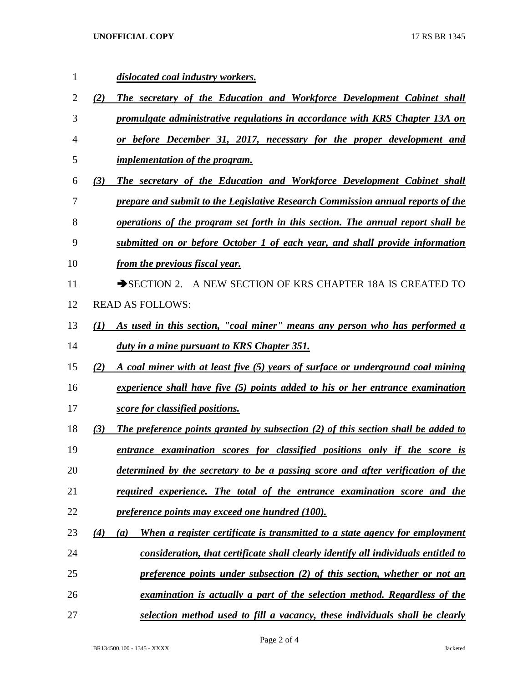## **UNOFFICIAL COPY** 17 RS BR 1345

 *dislocated coal industry workers. (2) The secretary of the Education and Workforce Development Cabinet shall promulgate administrative regulations in accordance with KRS Chapter 13A on or before December 31, 2017, necessary for the proper development and implementation of the program. (3) The secretary of the Education and Workforce Development Cabinet shall prepare and submit to the Legislative Research Commission annual reports of the operations of the program set forth in this section. The annual report shall be submitted on or before October 1 of each year, and shall provide information from the previous fiscal year.* 11 SECTION 2. A NEW SECTION OF KRS CHAPTER 18A IS CREATED TO READ AS FOLLOWS: *(1) As used in this section, "coal miner" means any person who has performed a duty in a mine pursuant to KRS Chapter 351. (2) A coal miner with at least five (5) years of surface or underground coal mining experience shall have five (5) points added to his or her entrance examination score for classified positions. (3) The preference points granted by subsection (2) of this section shall be added to entrance examination scores for classified positions only if the score is determined by the secretary to be a passing score and after verification of the required experience. The total of the entrance examination score and the preference points may exceed one hundred (100). (4) (a) When a register certificate is transmitted to a state agency for employment consideration, that certificate shall clearly identify all individuals entitled to preference points under subsection (2) of this section, whether or not an examination is actually a part of the selection method. Regardless of the selection method used to fill a vacancy, these individuals shall be clearly*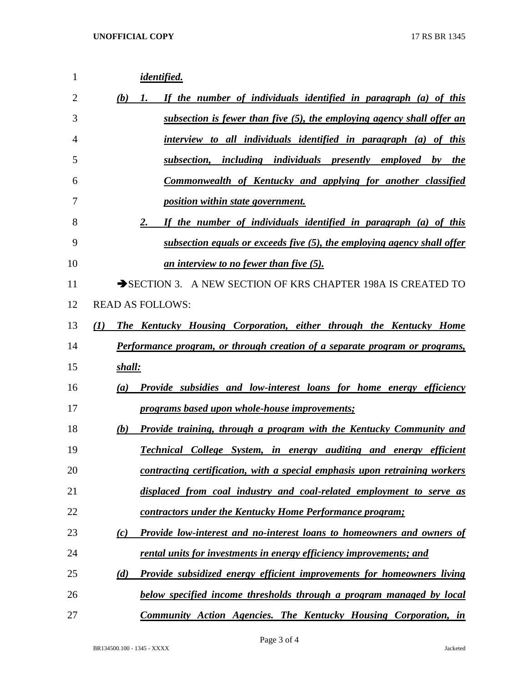| 1  | identified.                                                                                    |
|----|------------------------------------------------------------------------------------------------|
| 2  | If the number of individuals identified in paragraph (a) of this<br>(b)<br>1.                  |
| 3  | <u>subsection is fewer than five (5), the employing agency shall offer an</u>                  |
| 4  | interview to all individuals identified in paragraph (a) of this                               |
| 5  | subsection, including individuals presently employed by the                                    |
| 6  | Commonwealth of Kentucky and applying for another classified                                   |
| 7  | <i>position within state government.</i>                                                       |
| 8  | If the number of individuals identified in paragraph (a) of this<br>$2 -$                      |
| 9  | subsection equals or exceeds five (5), the employing agency shall offer                        |
| 10 | an interview to no fewer than five (5).                                                        |
| 11 | SECTION 3. A NEW SECTION OF KRS CHAPTER 198A IS CREATED TO                                     |
| 12 | <b>READ AS FOLLOWS:</b>                                                                        |
| 13 | The Kentucky Housing Corporation, either through the Kentucky Home<br>(I)                      |
| 14 | Performance program, or through creation of a separate program or programs,                    |
| 15 | shall:                                                                                         |
| 16 | <b>Provide subsidies and low-interest loans for home energy efficiency</b><br>$\left(a\right)$ |
| 17 | programs based upon whole-house improvements;                                                  |
| 18 | <u>Provide training, through a program with the Kentucky Community and</u><br>(b)              |
| 19 | <b>Technical College System, in energy auditing and energy</b><br>efficient                    |
| 20 | contracting certification, with a special emphasis upon retraining workers                     |
| 21 | displaced from coal industry and coal-related employment to serve as                           |
| 22 | contractors under the Kentucky Home Performance program;                                       |
| 23 | Provide low-interest and no-interest loans to homeowners and owners of<br>(c)                  |
| 24 | rental units for investments in energy efficiency improvements; and                            |
| 25 | Provide subsidized energy efficient improvements for homeowners living<br>(d)                  |
| 26 | below specified income thresholds through a program managed by local                           |
| 27 | <b>Community Action Agencies. The Kentucky Housing Corporation, in</b>                         |